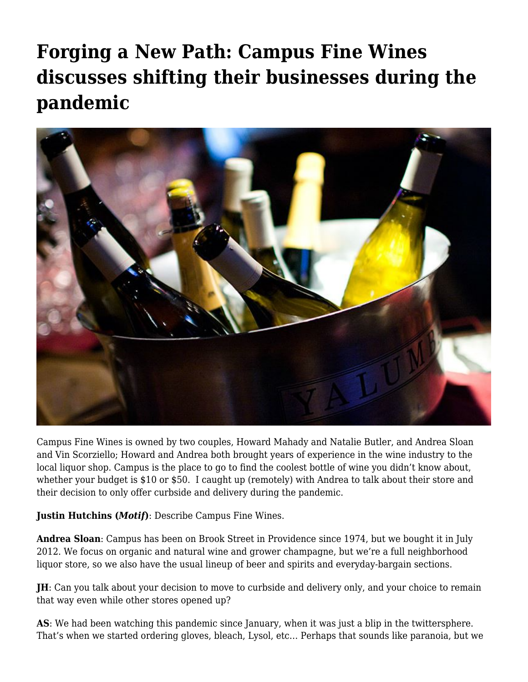## **[Forging a New Path: Campus Fine Wines](https://motifri.com/forging-a-new-path-campus-fine-wines-discusses-shifting-their-businesses-during-the-pandemic/) [discusses shifting their businesses during the](https://motifri.com/forging-a-new-path-campus-fine-wines-discusses-shifting-their-businesses-during-the-pandemic/) [pandemic](https://motifri.com/forging-a-new-path-campus-fine-wines-discusses-shifting-their-businesses-during-the-pandemic/)**



Campus Fine Wines is owned by two couples, Howard Mahady and Natalie Butler, and Andrea Sloan and Vin Scorziello; Howard and Andrea both brought years of experience in the wine industry to the local liquor shop. Campus is the place to go to find the coolest bottle of wine you didn't know about, whether your budget is \$10 or \$50. I caught up (remotely) with Andrea to talk about their store and their decision to only offer curbside and delivery during the pandemic.

**Justin Hutchins (***Motif***)**: Describe Campus Fine Wines.

**Andrea Sloan**: Campus has been on Brook Street in Providence since 1974, but we bought it in July 2012. We focus on organic and natural wine and grower champagne, but we're a full neighborhood liquor store, so we also have the usual lineup of beer and spirits and everyday-bargain sections.

**JH**: Can you talk about your decision to move to curbside and delivery only, and your choice to remain that way even while other stores opened up?

**AS**: We had been watching this pandemic since January, when it was just a blip in the twittersphere. That's when we started ordering gloves, bleach, Lysol, etc… Perhaps that sounds like paranoia, but we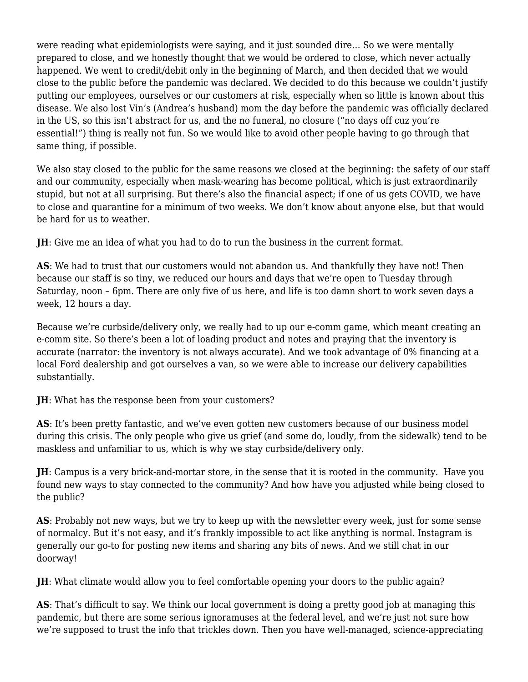were reading what epidemiologists were saying, and it just sounded dire… So we were mentally prepared to close, and we honestly thought that we would be ordered to close, which never actually happened. We went to credit/debit only in the beginning of March, and then decided that we would close to the public before the pandemic was declared. We decided to do this because we couldn't justify putting our employees, ourselves or our customers at risk, especially when so little is known about this disease. We also lost Vin's (Andrea's husband) mom the day before the pandemic was officially declared in the US, so this isn't abstract for us, and the no funeral, no closure ("no days off cuz you're essential!") thing is really not fun. So we would like to avoid other people having to go through that same thing, if possible.

We also stay closed to the public for the same reasons we closed at the beginning: the safety of our staff and our community, especially when mask-wearing has become political, which is just extraordinarily stupid, but not at all surprising. But there's also the financial aspect; if one of us gets COVID, we have to close and quarantine for a minimum of two weeks. We don't know about anyone else, but that would be hard for us to weather.

**JH**: Give me an idea of what you had to do to run the business in the current format.

**AS**: We had to trust that our customers would not abandon us. And thankfully they have not! Then because our staff is so tiny, we reduced our hours and days that we're open to Tuesday through Saturday, noon – 6pm. There are only five of us here, and life is too damn short to work seven days a week, 12 hours a day.

Because we're curbside/delivery only, we really had to up our e-comm game, which meant creating an e-comm site. So there's been a lot of loading product and notes and praying that the inventory is accurate (narrator: the inventory is not always accurate). And we took advantage of 0% financing at a local Ford dealership and got ourselves a van, so we were able to increase our delivery capabilities substantially.

**JH**: What has the response been from your customers?

**AS**: It's been pretty fantastic, and we've even gotten new customers because of our business model during this crisis. The only people who give us grief (and some do, loudly, from the sidewalk) tend to be maskless and unfamiliar to us, which is why we stay curbside/delivery only.

**JH**: Campus is a very brick-and-mortar store, in the sense that it is rooted in the community. Have you found new ways to stay connected to the community? And how have you adjusted while being closed to the public?

**AS**: Probably not new ways, but we try to keep up with the newsletter every week, just for some sense of normalcy. But it's not easy, and it's frankly impossible to act like anything is normal. Instagram is generally our go-to for posting new items and sharing any bits of news. And we still chat in our doorway!

**JH**: What climate would allow you to feel comfortable opening your doors to the public again?

**AS**: That's difficult to say. We think our local government is doing a pretty good job at managing this pandemic, but there are some serious ignoramuses at the federal level, and we're just not sure how we're supposed to trust the info that trickles down. Then you have well-managed, science-appreciating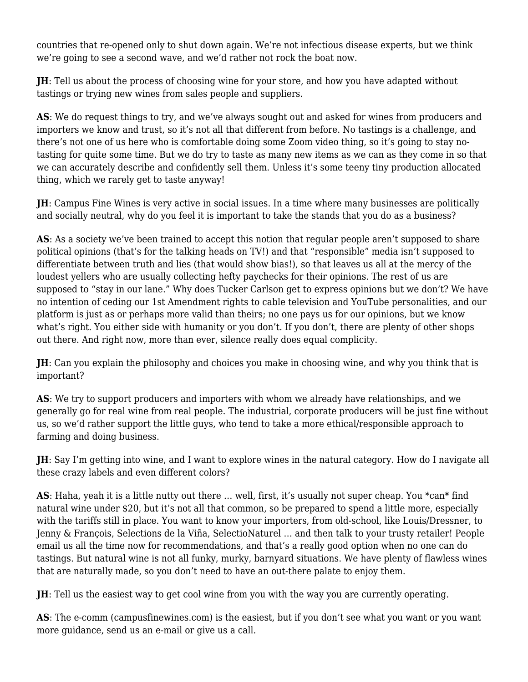countries that re-opened only to shut down again. We're not infectious disease experts, but we think we're going to see a second wave, and we'd rather not rock the boat now.

**JH**: Tell us about the process of choosing wine for your store, and how you have adapted without tastings or trying new wines from sales people and suppliers.

**AS**: We do request things to try, and we've always sought out and asked for wines from producers and importers we know and trust, so it's not all that different from before. No tastings is a challenge, and there's not one of us here who is comfortable doing some Zoom video thing, so it's going to stay notasting for quite some time. But we do try to taste as many new items as we can as they come in so that we can accurately describe and confidently sell them. Unless it's some teeny tiny production allocated thing, which we rarely get to taste anyway!

**JH**: Campus Fine Wines is very active in social issues. In a time where many businesses are politically and socially neutral, why do you feel it is important to take the stands that you do as a business?

AS: As a society we've been trained to accept this notion that regular people aren't supposed to share political opinions (that's for the talking heads on TV!) and that "responsible" media isn't supposed to differentiate between truth and lies (that would show bias!), so that leaves us all at the mercy of the loudest yellers who are usually collecting hefty paychecks for their opinions. The rest of us are supposed to "stay in our lane." Why does Tucker Carlson get to express opinions but we don't? We have no intention of ceding our 1st Amendment rights to cable television and YouTube personalities, and our platform is just as or perhaps more valid than theirs; no one pays us for our opinions, but we know what's right. You either side with humanity or you don't. If you don't, there are plenty of other shops out there. And right now, more than ever, silence really does equal complicity.

**JH**: Can you explain the philosophy and choices you make in choosing wine, and why you think that is important?

**AS**: We try to support producers and importers with whom we already have relationships, and we generally go for real wine from real people. The industrial, corporate producers will be just fine without us, so we'd rather support the little guys, who tend to take a more ethical/responsible approach to farming and doing business.

**JH**: Say I'm getting into wine, and I want to explore wines in the natural category. How do I navigate all these crazy labels and even different colors?

**AS**: Haha, yeah it is a little nutty out there … well, first, it's usually not super cheap. You \*can\* find natural wine under \$20, but it's not all that common, so be prepared to spend a little more, especially with the tariffs still in place. You want to know your importers, from old-school, like Louis/Dressner, to Jenny & François, Selections de la Viña, SelectioNaturel … and then talk to your trusty retailer! People email us all the time now for recommendations, and that's a really good option when no one can do tastings. But natural wine is not all funky, murky, barnyard situations. We have plenty of flawless wines that are naturally made, so you don't need to have an out-there palate to enjoy them.

**JH**: Tell us the easiest way to get cool wine from you with the way you are currently operating.

**AS**: The e-comm [\(campusfinewines.com\)](http://campusfinewines.com) is the easiest, but if you don't see what you want or you want more guidance, send us an e-mail or give us a call.